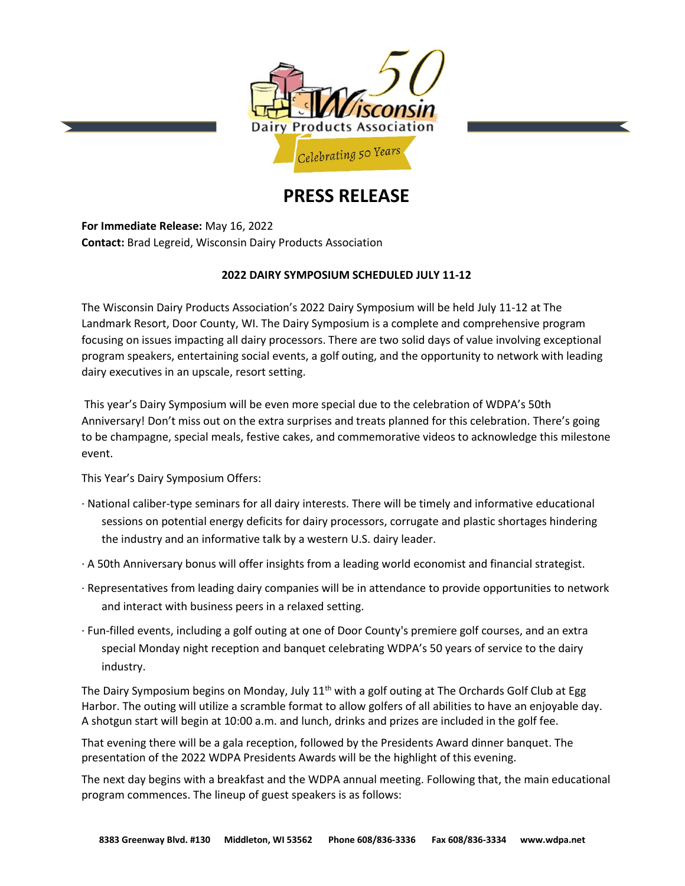

# **PRESS RELEASE**

**For Immediate Release:** May 16, 2022 **Contact:** Brad Legreid, Wisconsin Dairy Products Association

## **2022 DAIRY SYMPOSIUM SCHEDULED JULY 11-12**

The Wisconsin Dairy Products Association's 2022 Dairy Symposium will be held July 11-12 at The Landmark Resort, Door County, WI. The Dairy Symposium is a complete and comprehensive program focusing on issues impacting all dairy processors. There are two solid days of value involving exceptional program speakers, entertaining social events, a golf outing, and the opportunity to network with leading dairy executives in an upscale, resort setting.

This year's Dairy Symposium will be even more special due to the celebration of WDPA's 50th Anniversary! Don't miss out on the extra surprises and treats planned for this celebration. There's going to be champagne, special meals, festive cakes, and commemorative videos to acknowledge this milestone event.

This Year's Dairy Symposium Offers:

- · National caliber-type seminars for all dairy interests. There will be timely and informative educational sessions on potential energy deficits for dairy processors, corrugate and plastic shortages hindering the industry and an informative talk by a western U.S. dairy leader.
- · A 50th Anniversary bonus will offer insights from a leading world economist and financial strategist.
- · Representatives from leading dairy companies will be in attendance to provide opportunities to network and interact with business peers in a relaxed setting.
- · Fun-filled events, including a golf outing at one of Door County's premiere golf courses, and an extra special Monday night reception and banquet celebrating WDPA's 50 years of service to the dairy industry.

The Dairy Symposium begins on Monday, July  $11<sup>th</sup>$  with a golf outing at The Orchards Golf Club at Egg Harbor. The outing will utilize a scramble format to allow golfers of all abilities to have an enjoyable day. A shotgun start will begin at 10:00 a.m. and lunch, drinks and prizes are included in the golf fee.

That evening there will be a gala reception, followed by the Presidents Award dinner banquet. The presentation of the 2022 WDPA Presidents Awards will be the highlight of this evening.

The next day begins with a breakfast and the WDPA annual meeting. Following that, the main educational program commences. The lineup of guest speakers is as follows: